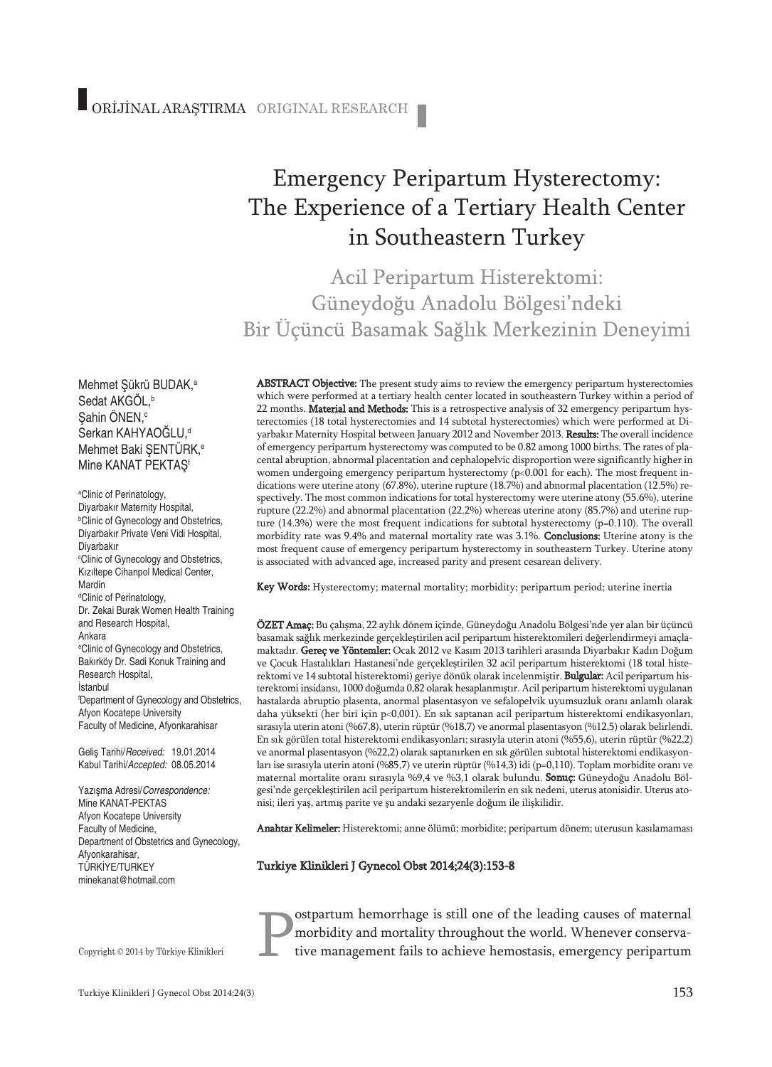# Emergency Peripartum Hysterectomy: The Experience of a Tertiary Health Center in Southeastern Turkey

Acil Peripartum Histerektomi: Güneydoğu Anadolu Bölgesi'ndeki Bir Üçüncü Basamak Sağlık Merkezinin Deneyimi

Mehmet Şükrü BUDAK, a Sedat AKGOL,<sup>b</sup> Şahin ÖNEN, c Serkan KAHYAOĞLU, d Mehmet Baki ŞENTÜRK, e Mine KANAT PEKTAŞ<sup>f</sup>

a Clinic of Perinatology, Diyarbakır Maternity Hospital, b Clinic of Gynecology and Obstetrics, Diyarbakır Private Veni Vidi Hospital, Diyarbakır c Clinic of Gynecology and Obstetrics, Kızıltepe Cihanpol Medical Center, Mardin <sup>d</sup>Clinic of Perinatology, Dr. Zekai Burak Women Health Training and Research Hospital, Ankara e Clinic of Gynecology and Obstetrics, Bakırköy Dr. Sadi Konuk Training and Research Hospital, İstanbul f Department of Gynecology and Obstetrics, Afyon Kocatepe University Faculty of Medicine, Afyonkarahisar

Geliş Tarihi/*Received:* 19.01.2014 Kabul Tarihi/*Accepted:* 08.05.2014

Yazışma Adresi/*Correspondence:* Mine KANAT-PEKTAS Afyon Kocatepe University Faculty of Medicine, Department of Obstetrics and Gynecology, Afyonkarahisar, TÜRKİYE/TURKEY minekanat@hotmail.com

Copyright © 2014 by Türkiye Klinikleri

ABSTRACT Objective: The present study aims to review the emergency peripartum hysterectomies which were performed at a tertiary health center located in southeastern Turkey within a period of 22 months. Material and Methods: This is a retrospective analysis of 32 emergency peripartum hysterectomies (18 total hysterectomies and 14 subtotal hysterectomies) which were performed at Diyarbakır Maternity Hospital between January 2012 and November 2013. Results: The overall incidence of emergency peripartum hysterectomy was computed to be 0.82 among 1000 births. The rates of placental abruption, abnormal placentation and cephalopelvic disproportion were significantly higher in women undergoing emergency peripartum hysterectomy (p<0.001 for each). The most frequent indications were uterine atony (67.8%), uterine rupture (18.7%) and abnormal placentation (12.5%) respectively. The most common indications for total hysterectomy were uterine atony (55.6%), uterine rupture (22.2%) and abnormal placentation (22.2%) whereas uterine atony (85.7%) and uterine rupture (14.3%) were the most frequent indications for subtotal hysterectomy ( $p=0.110$ ). The overall morbidity rate was 9.4% and maternal mortality rate was 3.1%. Conclusions: Uterine atony is the most frequent cause of emergency peripartum hysterectomy in southeastern Turkey. Uterine atony is associated with advanced age, increased parity and present cesarean delivery.

Key Words: Hysterectomy; maternal mortality; morbidity; peripartum period; uterine inertia

ÖZET Amaç: Bu çalışma, 22 aylık dönem içinde, Güneydoğu Anadolu Bölgesi'nde yer alan bir üçüncü basamak sağlık merkezinde gerçekleştirilen acil peripartum histerektomileri değerlendirmeyi amaçlamaktadır. Gereç ve Yöntemler: Ocak 2012 ve Kasım 2013 tarihleri arasında Diyarbakır Kadın Doğum ve Çocuk Hastalıkları Hastanesi'nde gerçekleştirilen 32 acil peripartum histerektomi (18 total histerektomi ve 14 subtotal histerektomi) geriye dönük olarak incelenmiştir. Bulgular: Acil peripartum histerektomi insidansı, 1000 doğumda 0,82 olarak hesaplanmıştır. Acil peripartum histerektomi uygulanan hastalarda abruptio plasenta, anormal plasentasyon ve sefalopelvik uyumsuzluk oranı anlamlı olarak daha yüksekti (her biri için p<0,001). En sık saptanan acil peripartum histerektomi endikasyonları, sırasıyla uterin atoni (%67,8), uterin rüptür(%18,7) ve anormal plasentasyon (%12,5) olarak belirlendi. En sık görülen total histerektomi endikasyonları; sırasıyla uterin atoni (%55,6), uterin rüptür (%22,2) ve anormal plasentasyon (%22,2) olarak saptanırken en sık görülen subtotal histerektomi endikasyonları ise sırasıyla uterin atoni (%85,7) ve uterin rüptür(%14,3) idi (p=0,110). Toplam morbidite oranı ve maternal mortalite oranı sırasıyla %9,4 ve %3,1 olarak bulundu. Sonuç: Güneydoğu Anadolu Bölgesi'nde gerçekleştirilen acil peripartum histerektomilerin en sık nedeni, uterus atonisidir. Uterus atonisi; ileri yaş, artmış parite ve şu andaki sezaryenle doğum ile ilişkilidir.

Anahtar Kelimeler: Histerektomi; anne ölümü; morbidite; peripartum dönem; uterusun kasılamaması

Turkiye Klinikleri J Gynecol Obst 2014;24(3):153-8

ostpartum hemorrhage is still one of the leading causes of maternal morbidity and mortality throughout the world. Whenever conservative management fails to achieve hemostasis, emergency peripartum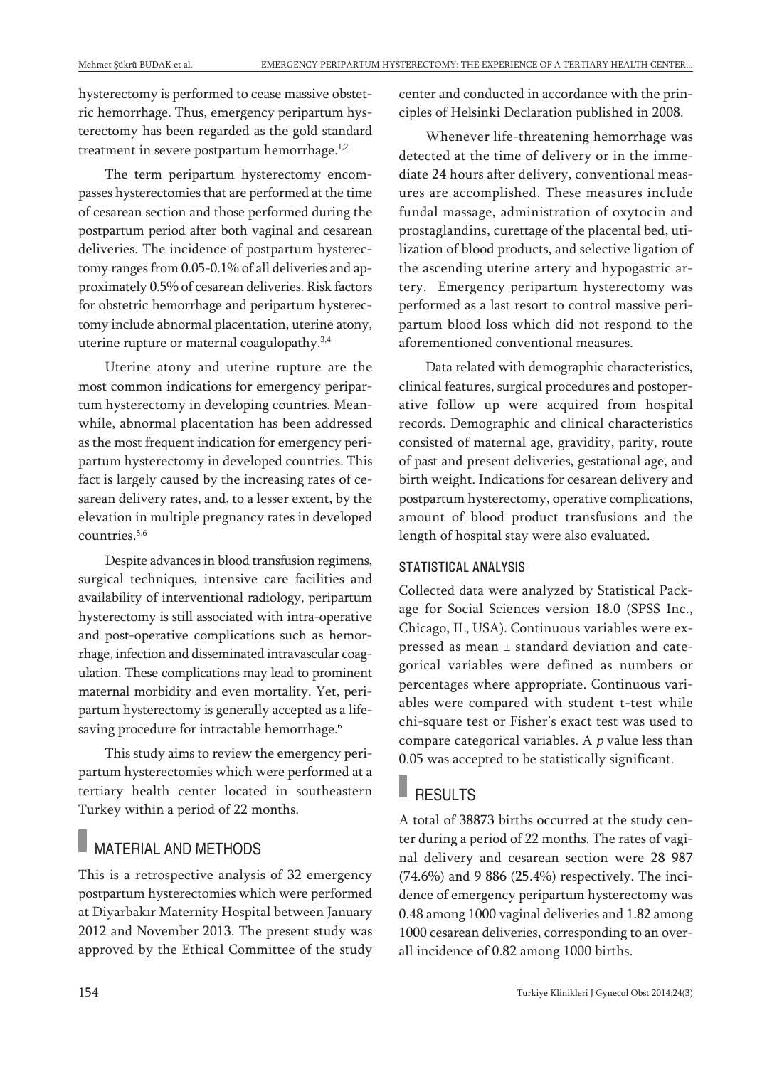hysterectomy is performed to cease massive obstetric hemorrhage. Thus, emergency peripartum hysterectomy has been regarded as the gold standard treatment in severe postpartum hemorrhage.<sup>1,2</sup>

The term peripartum hysterectomy encompasses hysterectomies that are performed at the time of cesarean section and those performed during the postpartum period after both vaginal and cesarean deliveries. The incidence of postpartum hysterectomy ranges from 0.05-0.1% of all deliveries and approximately 0.5% of cesarean deliveries. Risk factors for obstetric hemorrhage and peripartum hysterectomy include abnormal placentation, uterine atony, uterine rupture or maternal coagulopathy.<sup>3,4</sup>

Uterine atony and uterine rupture are the most common indications for emergency peripartum hysterectomy in developing countries. Meanwhile, abnormal placentation has been addressed as the most frequent indication for emergency peripartum hysterectomy in developed countries. This fact is largely caused by the increasing rates of cesarean delivery rates, and, to a lesser extent, by the elevation in multiple pregnancy rates in developed countries. 5,6

Despite advances in blood transfusion regimens, surgical techniques, intensive care facilities and availability of interventional radiology, peripartum hysterectomy is still associated with intra-operative and post-operative complications such as hemorrhage, infection and disseminated intravascular coagulation. These complications may lead to prominent maternal morbidity and even mortality. Yet, peripartum hysterectomy is generally accepted as a lifesaving procedure for intractable hemorrhage. 6

This study aims to review the emergency peripartum hysterectomies which were performed at a tertiary health center located in southeastern Turkey within a period of 22 months.

# MATERIAL AND METHODS

This is a retrospective analysis of 32 emergency postpartum hysterectomies which were performed at Diyarbakır Maternity Hospital between January 2012 and November 2013. The present study was approved by the Ethical Committee of the study center and conducted in accordance with the principles of Helsinki Declaration published in 2008.

Whenever life-threatening hemorrhage was detected at the time of delivery or in the immediate 24 hours after delivery, conventional measures are accomplished. These measures include fundal massage, administration of oxytocin and prostaglandins, curettage of the placental bed, utilization of blood products, and selective ligation of the ascending uterine artery and hypogastric artery. Emergency peripartum hysterectomy was performed as a last resort to control massive peripartum blood loss which did not respond to the aforementioned conventional measures.

Data related with demographic characteristics, clinical features, surgical procedures and postoperative follow up were acquired from hospital records. Demographic and clinical characteristics consisted of maternal age, gravidity, parity, route of past and present deliveries, gestational age, and birth weight. Indications for cesarean delivery and postpartum hysterectomy, operative complications, amount of blood product transfusions and the length of hospital stay were also evaluated.

#### STATISTICAL ANALYSIS

Collected data were analyzed by Statistical Package for Social Sciences version 18.0 (SPSS Inc., Chicago, IL, USA). Continuous variables were expressed as mean ± standard deviation and categorical variables were defined as numbers or percentages where appropriate. Continuous variables were compared with student t-test while chi-square test or Fisher's exact test was used to compare categorical variables. A  $p$  value less than 0.05 was accepted to be statistically significant.

# **RESULTS**

A total of 38873 births occurred at the study center during a period of 22 months. The rates of vaginal delivery and cesarean section were 28 987 (74.6%) and 9 886 (25.4%) respectively. The incidence of emergency peripartum hysterectomy was 0.48 among 1000 vaginal deliveries and 1.82 among 1000 cesarean deliveries, corresponding to an overall incidence of 0.82 among 1000 births.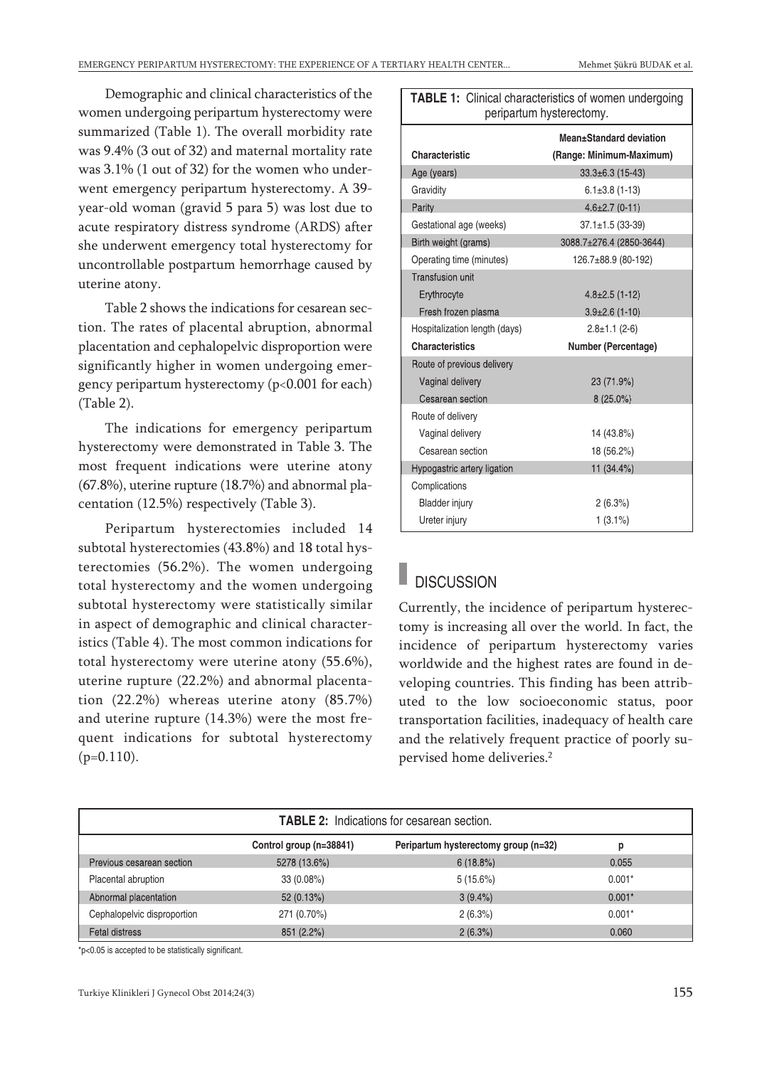Demographic and clinical characteristics of the women undergoing peripartum hysterectomy were summarized (Table 1). The overall morbidity rate was 9.4% (3 out of 32) and maternal mortality rate was 3.1% (1 out of 32) for the women who underwent emergency peripartum hysterectomy. A 39 year-old woman (gravid 5 para 5) was lost due to acute respiratory distress syndrome (ARDS) after she underwent emergency total hysterectomy for uncontrollable postpartum hemorrhage caused by uterine atony.

Table 2 shows the indications for cesarean section. The rates of placental abruption, abnormal placentation and cephalopelvic disproportion were significantly higher in women undergoing emergency peripartum hysterectomy (p<0.001 for each) (Table 2).

The indications for emergency peripartum hysterectomy were demonstrated in Table 3. The most frequent indications were uterine atony (67.8%), uterine rupture (18.7%) and abnormal placentation (12.5%) respectively (Table 3).

Peripartum hysterectomies included 14 subtotal hysterectomies (43.8%) and 18 total hysterectomies (56.2%). The women undergoing total hysterectomy and the women undergoing subtotal hysterectomy were statistically similar in aspect of demographic and clinical characteristics (Table 4). The most common indications for total hysterectomy were uterine atony (55.6%), uterine rupture (22.2%) and abnormal placentation (22.2%) whereas uterine atony (85.7%) and uterine rupture (14.3%) were the most frequent indications for subtotal hysterectomy  $(p=0.110)$ .

| peripartum hysterectomy.      |                          |  |  |  |
|-------------------------------|--------------------------|--|--|--|
| Mean±Standard deviation       |                          |  |  |  |
| <b>Characteristic</b>         | (Range: Minimum-Maximum) |  |  |  |
| Age (years)                   | $33.3\pm6.3$ (15-43)     |  |  |  |
| Gravidity                     | $6.1 \pm 3.8$ (1-13)     |  |  |  |
| Parity                        | $4.6 \pm 2.7$ (0-11)     |  |  |  |
| Gestational age (weeks)       | $37.1 \pm 1.5$ (33-39)   |  |  |  |
| Birth weight (grams)          | 3088.7±276.4 (2850-3644) |  |  |  |
| Operating time (minutes)      | 126.7±88.9 (80-192)      |  |  |  |
| <b>Transfusion unit</b>       |                          |  |  |  |
| Erythrocyte                   | $4.8 \pm 2.5$ (1-12)     |  |  |  |
| Fresh frozen plasma           | $3.9\pm2.6$ (1-10)       |  |  |  |
| Hospitalization length (days) | $2.8 \pm 1.1$ (2-6)      |  |  |  |
| <b>Characteristics</b>        | Number (Percentage)      |  |  |  |
| Route of previous delivery    |                          |  |  |  |
| Vaginal delivery              | 23 (71.9%)               |  |  |  |
| Cesarean section              | $8(25.0\%)$              |  |  |  |
| Route of delivery             |                          |  |  |  |
| Vaginal delivery              | 14 (43.8%)               |  |  |  |
| Cesarean section              | 18 (56.2%)               |  |  |  |
| Hypogastric artery ligation   | 11 (34.4%)               |  |  |  |
| Complications                 |                          |  |  |  |
| <b>Bladder injury</b>         | 2(6.3%)                  |  |  |  |
| Ureter injury                 | $1(3.1\%)$               |  |  |  |

**TABLE 1:** Clinical characteristics of women undergoing I

### **DISCUSSION**

Currently, the incidence of peripartum hysterectomy is increasing all over the world. In fact, the incidence of peripartum hysterectomy varies worldwide and the highest rates are found in developing countries. This finding has been attributed to the low socioeconomic status, poor transportation facilities, inadequacy of health care and the relatively frequent practice of poorly supervised home deliveries. 2

| <b>TABLE 2:</b> Indications for cesarean section. |                         |                                      |          |  |
|---------------------------------------------------|-------------------------|--------------------------------------|----------|--|
|                                                   | Control group (n=38841) | Peripartum hysterectomy group (n=32) | р        |  |
| Previous cesarean section                         | 5278 (13.6%)            | 6(18.8%)                             | 0.055    |  |
| Placental abruption                               | 33 (0.08%)              | 5(15.6%)                             | $0.001*$ |  |
| Abnormal placentation                             | 52(0.13%)               | $3(9.4\%)$                           | $0.001*$ |  |
| Cephalopelvic disproportion                       | 271 (0.70%)             | $2(6.3\%)$                           | $0.001*$ |  |
| <b>Fetal distress</b>                             | 851 (2.2%)              | 2(6.3%)                              | 0.060    |  |

\*p<0.05 is accepted to be statistically significant.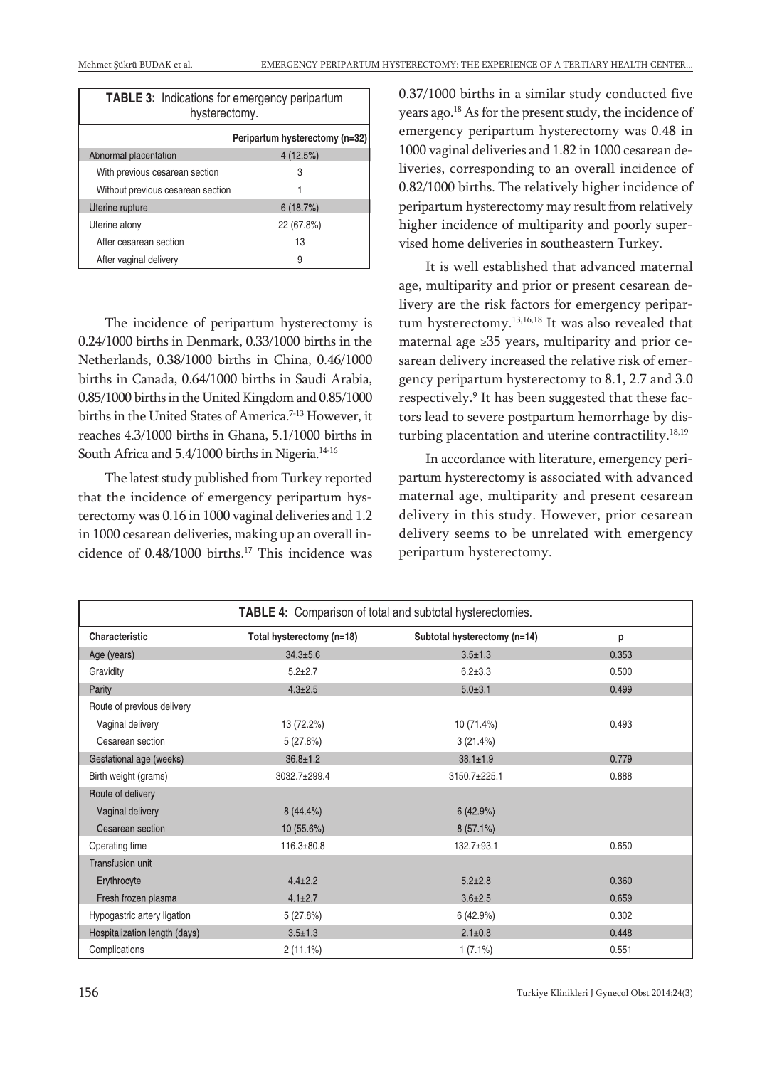| <b>TABLE 3:</b> Indications for emergency peripartum<br>hysterectomy. |                                |  |  |
|-----------------------------------------------------------------------|--------------------------------|--|--|
|                                                                       | Peripartum hysterectomy (n=32) |  |  |
| Abnormal placentation                                                 | 4(12.5%)                       |  |  |
| With previous cesarean section                                        | 3                              |  |  |
| Without previous cesarean section                                     |                                |  |  |
| Uterine rupture                                                       | 6(18.7%)                       |  |  |
| Uterine atony                                                         | 22 (67.8%)                     |  |  |
| After cesarean section                                                | 13                             |  |  |
| After vaginal delivery                                                | 9                              |  |  |

The incidence of peripartum hysterectomy is 0.24/1000 births in Denmark, 0.33/1000 births in the Netherlands, 0.38/1000 births in China, 0.46/1000 births in Canada, 0.64/1000 births in Saudi Arabia, 0.85/1000 births in the United Kingdom and 0.85/1000 births in the United States of America. 7-13 However, it reaches 4.3/1000 births in Ghana, 5.1/1000 births in South Africa and 5.4/1000 births in Nigeria. 14-16

The latest study published from Turkey reported that the incidence of emergency peripartum hysterectomy was 0.16 in 1000 vaginal deliveries and 1.2 in 1000 cesarean deliveries, making up an overall incidence of 0.48/1000 births. <sup>17</sup> This incidence was

0.37/1000 births in a similar study conducted five years ago.<sup>18</sup> As for the present study, the incidence of emergency peripartum hysterectomy was 0.48 in 1000 vaginal deliveries and 1.82 in 1000 cesarean deliveries, corresponding to an overall incidence of 0.82/1000 births. The relatively higher incidence of peripartum hysterectomy may result from relatively higher incidence of multiparity and poorly supervised home deliveries in southeastern Turkey.

It is well established that advanced maternal age, multiparity and prior or present cesarean delivery are the risk factors for emergency peripartum hysterectomy. 13,16,18 It was also revealed that maternal age ≥35 years, multiparity and prior cesarean delivery increased the relative risk of emergency peripartum hysterectomy to 8.1, 2.7 and 3.0 respectively. <sup>9</sup> It has been suggested that these factors lead to severe postpartum hemorrhage by disturbing placentation and uterine contractility.<sup>18,19</sup>

In accordance with literature, emergency peripartum hysterectomy is associated with advanced maternal age, multiparity and present cesarean delivery in this study. However, prior cesarean delivery seems to be unrelated with emergency peripartum hysterectomy.

| TABLE 4: Comparison of total and subtotal hysterectomies. |                           |                              |       |  |  |
|-----------------------------------------------------------|---------------------------|------------------------------|-------|--|--|
| Characteristic                                            | Total hysterectomy (n=18) | Subtotal hysterectomy (n=14) | p     |  |  |
| Age (years)                                               | $34.3 \pm 5.6$            | $3.5 \pm 1.3$                | 0.353 |  |  |
| Gravidity                                                 | $5.2 + 2.7$               | $6.2 \pm 3.3$                | 0.500 |  |  |
| Parity                                                    | $4.3 \pm 2.5$             | $5.0 + 3.1$                  | 0.499 |  |  |
| Route of previous delivery                                |                           |                              |       |  |  |
| Vaginal delivery                                          | 13 (72.2%)                | 10 (71.4%)                   | 0.493 |  |  |
| Cesarean section                                          | 5(27.8%)                  | 3(21.4%)                     |       |  |  |
| Gestational age (weeks)                                   | $36.8 \pm 1.2$            | $38.1 \pm 1.9$               | 0.779 |  |  |
| Birth weight (grams)                                      | 3032.7±299.4              | 3150.7±225.1                 | 0.888 |  |  |
| Route of delivery                                         |                           |                              |       |  |  |
| Vaginal delivery                                          | $8(44.4\%)$               | 6(42.9%)                     |       |  |  |
| Cesarean section                                          | 10 (55.6%)                | $8(57.1\%)$                  |       |  |  |
| Operating time                                            | $116.3 + 80.8$            | $132.7 + 93.1$               | 0.650 |  |  |
| Transfusion unit                                          |                           |                              |       |  |  |
| Erythrocyte                                               | $4.4 \pm 2.2$             | $5.2 + 2.8$                  | 0.360 |  |  |
| Fresh frozen plasma                                       | $4.1 \pm 2.7$             | $3.6 + 2.5$                  | 0.659 |  |  |
| Hypogastric artery ligation                               | 5(27.8%)                  | 6 (42.9%)                    | 0.302 |  |  |
| Hospitalization length (days)                             | $3.5 \pm 1.3$             | $2.1 \pm 0.8$                | 0.448 |  |  |
| Complications                                             | $2(11.1\%)$               | $1(7.1\%)$                   | 0.551 |  |  |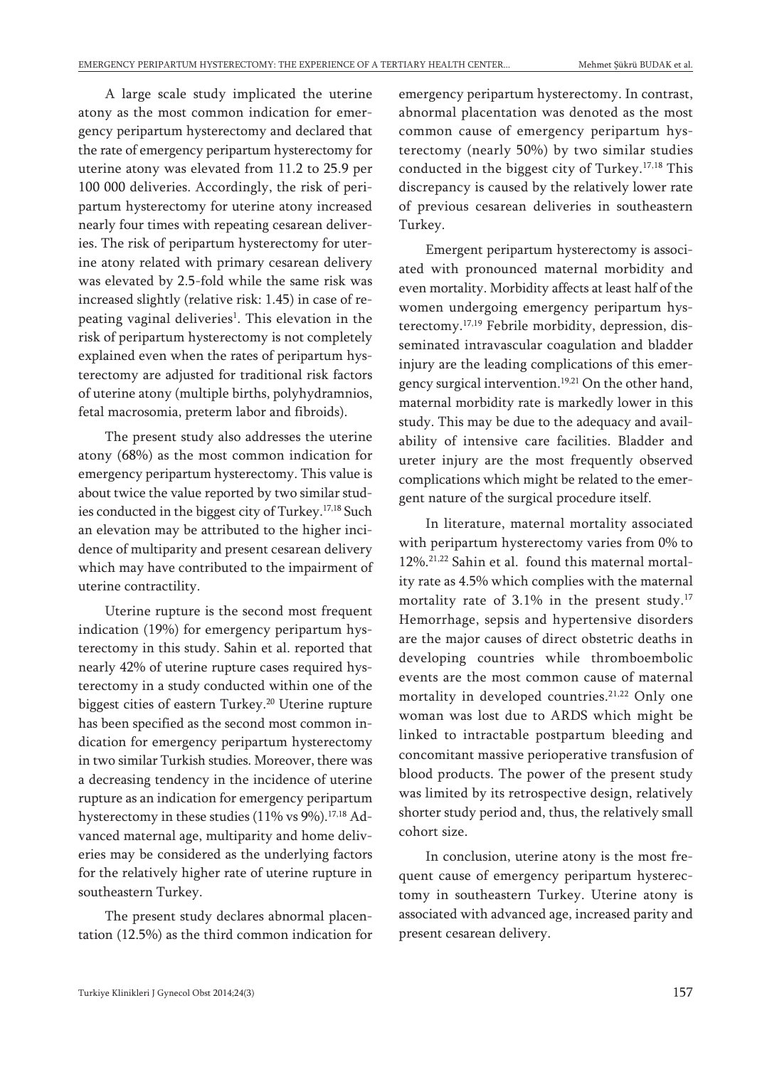A large scale study implicated the uterine atony as the most common indication for emergency peripartum hysterectomy and declared that the rate of emergency peripartum hysterectomy for uterine atony was elevated from 11.2 to 25.9 per 100 000 deliveries. Accordingly, the risk of peripartum hysterectomy for uterine atony increased nearly four times with repeating cesarean deliveries. The risk of peripartum hysterectomy for uterine atony related with primary cesarean delivery was elevated by 2.5-fold while the same risk was increased slightly (relative risk: 1.45) in case of repeating vaginal deliveries<sup>1</sup>. This elevation in the risk of peripartum hysterectomy is not completely explained even when the rates of peripartum hysterectomy are adjusted for traditional risk factors of uterine atony (multiple births, polyhydramnios, fetal macrosomia, preterm labor and fibroids).

The present study also addresses the uterine atony (68%) as the most common indication for emergency peripartum hysterectomy. This value is about twice the value reported by two similar studies conducted in the biggest city of Turkey. 17,18 Such an elevation may be attributed to the higher incidence of multiparity and present cesarean delivery which may have contributed to the impairment of uterine contractility.

Uterine rupture is the second most frequent indication (19%) for emergency peripartum hysterectomy in this study. Sahin et al. reported that nearly 42% of uterine rupture cases required hysterectomy in a study conducted within one of the biggest cities of eastern Turkey. <sup>20</sup> Uterine rupture has been specified as the second most common indication for emergency peripartum hysterectomy in two similar Turkish studies. Moreover, there was a decreasing tendency in the incidence of uterine rupture as an indication for emergency peripartum hysterectomy in these studies (11% vs 9%). 17,18 Advanced maternal age, multiparity and home deliveries may be considered as the underlying factors for the relatively higher rate of uterine rupture in southeastern Turkey.

The present study declares abnormal placentation (12.5%) as the third common indication for emergency peripartum hysterectomy. In contrast, abnormal placentation was denoted as the most common cause of emergency peripartum hysterectomy (nearly 50%) by two similar studies conducted in the biggest city of Turkey. 17,18 This discrepancy is caused by the relatively lower rate of previous cesarean deliveries in southeastern Turkey.

Emergent peripartum hysterectomy is associated with pronounced maternal morbidity and even mortality. Morbidity affects at least half of the women undergoing emergency peripartum hysterectomy. 17,19 Febrile morbidity, depression, disseminated intravascular coagulation and bladder injury are the leading complications of this emergency surgical intervention. 19,21 On the other hand, maternal morbidity rate is markedly lower in this study. This may be due to the adequacy and availability of intensive care facilities. Bladder and ureter injury are the most frequently observed complications which might be related to the emergent nature of the surgical procedure itself.

In literature, maternal mortality associated with peripartum hysterectomy varies from 0% to 12%. 21,22 Sahin et al. found this maternal mortality rate as 4.5% which complies with the maternal mortality rate of 3.1% in the present study. 17 Hemorrhage, sepsis and hypertensive disorders are the major causes of direct obstetric deaths in developing countries while thromboembolic events are the most common cause of maternal mortality in developed countries.<sup>21,22</sup> Only one woman was lost due to ARDS which might be linked to intractable postpartum bleeding and concomitant massive perioperative transfusion of blood products. The power of the present study was limited by its retrospective design, relatively shorter study period and, thus, the relatively small cohort size.

In conclusion, uterine atony is the most frequent cause of emergency peripartum hysterectomy in southeastern Turkey. Uterine atony is associated with advanced age, increased parity and present cesarean delivery.